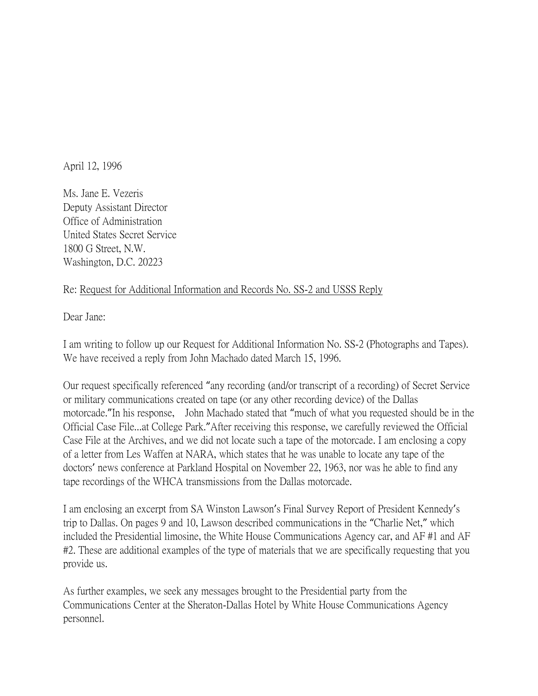April 12, 1996

Ms. Jane E. Vezeris Deputy Assistant Director Office of Administration United States Secret Service 1800 G Street, N.W. Washington, D.C. 20223

## Re: Request for Additional Information and Records No. SS-2 and USSS Reply

Dear Jane:

I am writing to follow up our Request for Additional Information No. SS-2 (Photographs and Tapes). We have received a reply from John Machado dated March 15, 1996.

Our request specifically referenced "any recording (and/or transcript of a recording) of Secret Service or military communications created on tape (or any other recording device) of the Dallas motorcade."In his response, John Machado stated that "much of what you requested should be in the Official Case File...at College Park."After receiving this response, we carefully reviewed the Official Case File at the Archives, and we did not locate such a tape of the motorcade. I am enclosing a copy of a letter from Les Waffen at NARA, which states that he was unable to locate any tape of the doctors' news conference at Parkland Hospital on November 22, 1963, nor was he able to find any tape recordings of the WHCA transmissions from the Dallas motorcade.

I am enclosing an excerpt from SA Winston Lawson's Final Survey Report of President Kennedy's trip to Dallas. On pages 9 and 10, Lawson described communications in the "Charlie Net," which included the Presidential limosine, the White House Communications Agency car, and AF #1 and AF #2. These are additional examples of the type of materials that we are specifically requesting that you provide us.

As further examples, we seek any messages brought to the Presidential party from the Communications Center at the Sheraton-Dallas Hotel by White House Communications Agency personnel.